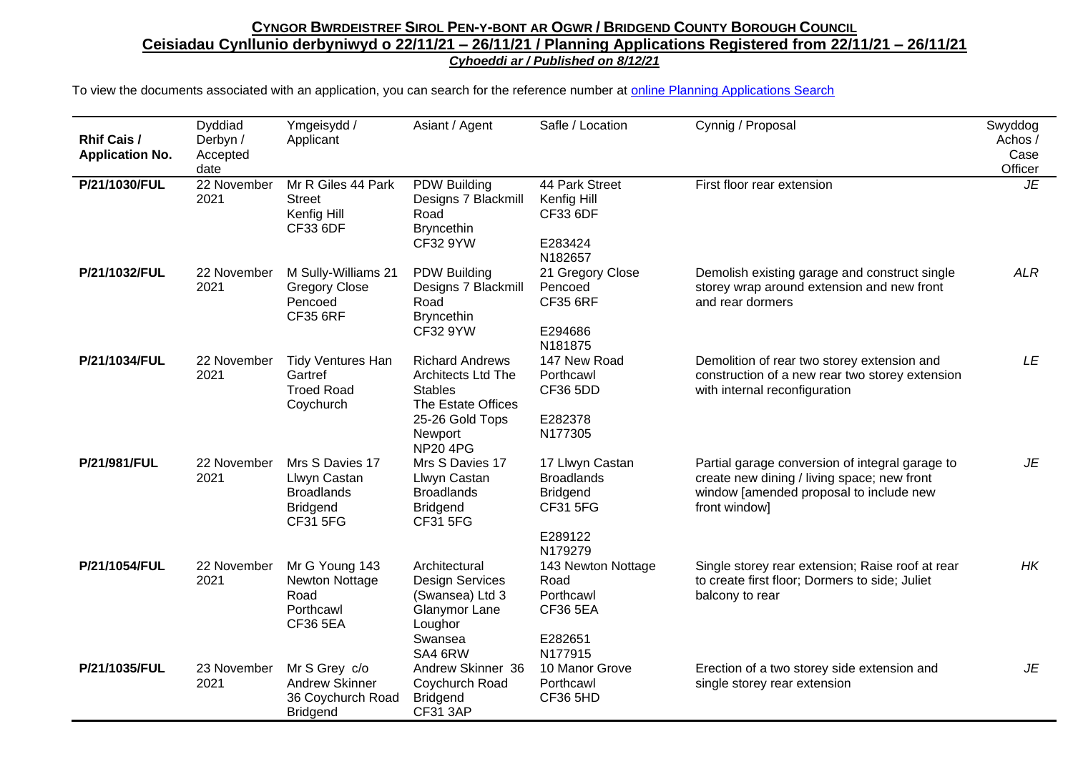## CYNGOR BWRDEISTREF SIROL PEN-Y-BONT AR OGWR / BRIDGEND COUNTY BOROUGH COUNCIL **Ceisiadau Cynllunio derbyniwyd o 22/11/21 – 26/11/21 / Planning Applications Registered from 22/11/21 – 26/11/21** *Cyhoeddi ar / Published on 8/12/21*

To view the documents associated with an application, you can search for the reference number at [online Planning Applications Search](http://planning.bridgend.gov.uk/)

| <b>Rhif Cais /</b><br><b>Application No.</b> | Dyddiad<br>Derbyn /<br>Accepted<br>date | Ymgeisydd /<br>Applicant                                                                   | Asiant / Agent                                                                                                                               | Safle / Location                                                                                 | Cynnig / Proposal                                                                                                                                          | Swyddog<br>Achos /<br>Case<br>Officer |
|----------------------------------------------|-----------------------------------------|--------------------------------------------------------------------------------------------|----------------------------------------------------------------------------------------------------------------------------------------------|--------------------------------------------------------------------------------------------------|------------------------------------------------------------------------------------------------------------------------------------------------------------|---------------------------------------|
| P/21/1030/FUL                                | 22 November<br>2021                     | Mr R Giles 44 Park<br><b>Street</b><br>Kenfig Hill<br>CF33 6DF                             | PDW Building<br>Designs 7 Blackmill<br>Road<br><b>Bryncethin</b><br><b>CF32 9YW</b>                                                          | 44 Park Street<br>Kenfig Hill<br>CF33 6DF<br>E283424<br>N182657                                  | First floor rear extension                                                                                                                                 | <b>JE</b>                             |
| P/21/1032/FUL                                | 22 November<br>2021                     | M Sully-Williams 21<br><b>Gregory Close</b><br>Pencoed<br><b>CF35 6RF</b>                  | <b>PDW Building</b><br>Designs 7 Blackmill<br>Road<br><b>Bryncethin</b><br><b>CF32 9YW</b>                                                   | 21 Gregory Close<br>Pencoed<br><b>CF35 6RF</b><br>E294686<br>N181875                             | Demolish existing garage and construct single<br>storey wrap around extension and new front<br>and rear dormers                                            | <b>ALR</b>                            |
| P/21/1034/FUL                                | 22 November<br>2021                     | <b>Tidy Ventures Han</b><br>Gartref<br><b>Troed Road</b><br>Coychurch                      | <b>Richard Andrews</b><br><b>Architects Ltd The</b><br><b>Stables</b><br>The Estate Offices<br>25-26 Gold Tops<br>Newport<br><b>NP20 4PG</b> | 147 New Road<br>Porthcawl<br><b>CF36 5DD</b><br>E282378<br>N177305                               | Demolition of rear two storey extension and<br>construction of a new rear two storey extension<br>with internal reconfiguration                            | LE                                    |
| P/21/981/FUL                                 | 22 November<br>2021                     | Mrs S Davies 17<br>Llwyn Castan<br><b>Broadlands</b><br><b>Bridgend</b><br><b>CF31 5FG</b> | Mrs S Davies 17<br>Llwyn Castan<br><b>Broadlands</b><br><b>Bridgend</b><br><b>CF31 5FG</b>                                                   | 17 Llwyn Castan<br><b>Broadlands</b><br><b>Bridgend</b><br><b>CF31 5FG</b><br>E289122<br>N179279 | Partial garage conversion of integral garage to<br>create new dining / living space; new front<br>window [amended proposal to include new<br>front window] | JE                                    |
| P/21/1054/FUL                                | 22 November<br>2021                     | Mr G Young 143<br>Newton Nottage<br>Road<br>Porthcawl<br><b>CF36 5EA</b>                   | Architectural<br><b>Design Services</b><br>(Swansea) Ltd 3<br>Glanymor Lane<br>Loughor<br>Swansea<br>SA4 6RW                                 | 143 Newton Nottage<br>Road<br>Porthcawl<br><b>CF36 5EA</b><br>E282651<br>N177915                 | Single storey rear extension; Raise roof at rear<br>to create first floor; Dormers to side; Juliet<br>balcony to rear                                      | $H\mathsf{K}$                         |
| P/21/1035/FUL                                | 23 November<br>2021                     | Mr S Grey c/o<br><b>Andrew Skinner</b><br>36 Coychurch Road<br><b>Bridgend</b>             | Andrew Skinner 36<br>Coychurch Road<br><b>Bridgend</b><br><b>CF31 3AP</b>                                                                    | 10 Manor Grove<br>Porthcawl<br><b>CF36 5HD</b>                                                   | Erection of a two storey side extension and<br>single storey rear extension                                                                                | JE                                    |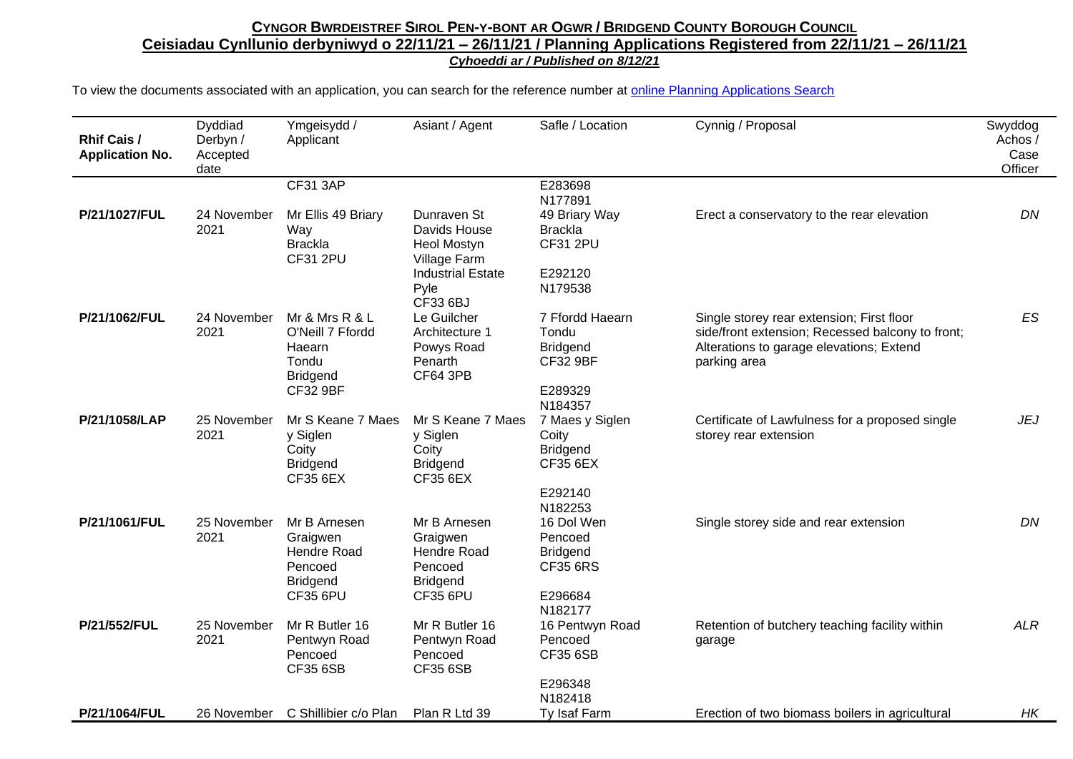## CYNGOR BWRDEISTREF SIROL PEN-Y-BONT AR OGWR / BRIDGEND COUNTY BOROUGH COUNCIL **Ceisiadau Cynllunio derbyniwyd o 22/11/21 – 26/11/21 / Planning Applications Registered from 22/11/21 – 26/11/21** *Cyhoeddi ar / Published on 8/12/21*

To view the documents associated with an application, you can search for the reference number at [online Planning Applications Search](http://planning.bridgend.gov.uk/)

| <b>Rhif Cais /</b><br><b>Application No.</b> | Dyddiad<br>Derbyn /<br>Accepted<br>date | Ymgeisydd /<br>Applicant                                                                    | Asiant / Agent                                                                                  | Safle / Location                                                                     | Cynnig / Proposal                                                                                                                                         | Swyddog<br>Achos /<br>Case<br>Officer |
|----------------------------------------------|-----------------------------------------|---------------------------------------------------------------------------------------------|-------------------------------------------------------------------------------------------------|--------------------------------------------------------------------------------------|-----------------------------------------------------------------------------------------------------------------------------------------------------------|---------------------------------------|
|                                              |                                         | <b>CF31 3AP</b>                                                                             |                                                                                                 | E283698                                                                              |                                                                                                                                                           |                                       |
| P/21/1027/FUL                                | 24 November<br>2021                     | Mr Ellis 49 Briary<br>Way<br><b>Brackla</b><br><b>CF31 2PU</b>                              | Dunraven St<br>Davids House<br>Heol Mostyn                                                      | N177891<br>49 Briary Way<br><b>Brackla</b><br><b>CF31 2PU</b>                        | Erect a conservatory to the rear elevation                                                                                                                | DN                                    |
|                                              |                                         |                                                                                             | Village Farm<br><b>Industrial Estate</b><br>Pyle<br>CF33 6BJ                                    | E292120<br>N179538                                                                   |                                                                                                                                                           |                                       |
| P/21/1062/FUL                                | 24 November<br>2021                     | Mr & Mrs R & L<br>O'Neill 7 Ffordd<br>Haearn<br>Tondu<br><b>Bridgend</b><br><b>CF32 9BF</b> | Le Guilcher<br>Architecture 1<br>Powys Road<br>Penarth<br><b>CF64 3PB</b>                       | 7 Ffordd Haearn<br>Tondu<br><b>Bridgend</b><br><b>CF32 9BF</b><br>E289329<br>N184357 | Single storey rear extension; First floor<br>side/front extension; Recessed balcony to front;<br>Alterations to garage elevations; Extend<br>parking area | ES                                    |
| P/21/1058/LAP                                | 25 November<br>2021                     | Mr S Keane 7 Maes<br>y Siglen<br>Coity<br><b>Bridgend</b><br><b>CF35 6EX</b>                | Mr S Keane 7 Maes<br>y Siglen<br>Coity<br><b>Bridgend</b><br><b>CF35 6EX</b>                    | 7 Maes y Siglen<br>Coity<br><b>Bridgend</b><br><b>CF35 6EX</b><br>E292140<br>N182253 | Certificate of Lawfulness for a proposed single<br>storey rear extension                                                                                  | <b>JEJ</b>                            |
| P/21/1061/FUL                                | 25 November<br>2021                     | Mr B Arnesen<br>Graigwen<br>Hendre Road<br>Pencoed<br><b>Bridgend</b><br><b>CF35 6PU</b>    | Mr B Arnesen<br>Graigwen<br><b>Hendre Road</b><br>Pencoed<br><b>Bridgend</b><br><b>CF35 6PU</b> | 16 Dol Wen<br>Pencoed<br><b>Bridgend</b><br><b>CF35 6RS</b><br>E296684<br>N182177    | Single storey side and rear extension                                                                                                                     | DN                                    |
| P/21/552/FUL                                 | 25 November<br>2021                     | Mr R Butler 16<br>Pentwyn Road<br>Pencoed<br><b>CF35 6SB</b>                                | Mr R Butler 16<br>Pentwyn Road<br>Pencoed<br><b>CF35 6SB</b>                                    | 16 Pentwyn Road<br>Pencoed<br><b>CF35 6SB</b><br>E296348<br>N182418                  | Retention of butchery teaching facility within<br>garage                                                                                                  | <b>ALR</b>                            |
| P/21/1064/FUL                                |                                         | 26 November C Shillibier c/o Plan                                                           | Plan R Ltd 39                                                                                   | Ty Isaf Farm                                                                         | Erection of two biomass boilers in agricultural                                                                                                           | HK                                    |